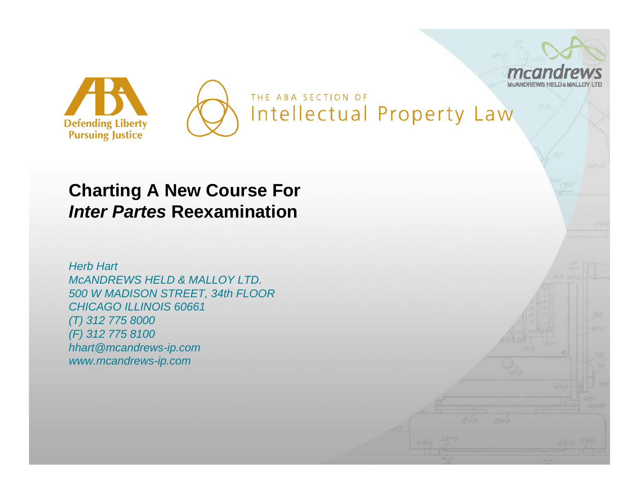



#### **Charting A New Course For** *Inter Partes* **Reexamination**

*Herb HartMcANDREWS HELD & MALLOY LTD.500 W MADISON STREET, 34th FLOOR CHICAGO ILLINOIS 60661 (T) 312 775 8000 (F) 312 775 8100 hhart@mcandrews-ip.com www.mcandrews-ip.com*

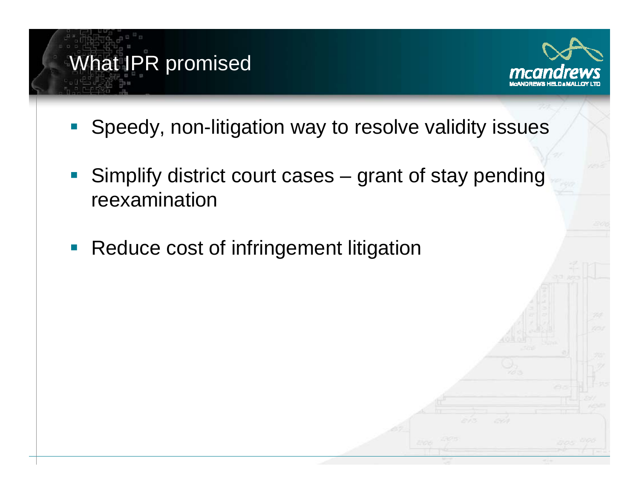



- **Speedy, non-litigation way to resolve validity issues**
- $\mathbb{R}^n$  Simplify district court cases – grant of stay pending reexamination
- **Reduce cost of infringement litigation**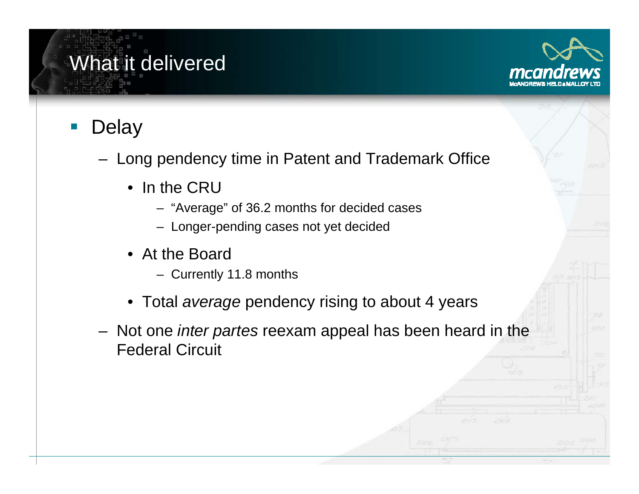## What it delivered



#### $\mathbb{R}^n$ **Delay**

- – Long pendency time in Patent and Trademark Office
	- In the CRU
		- "Average" of 36.2 months for decided cases
		- Longer-pending cases not yet decided
	- At the Board
		- Currently 11.8 months
	- Total *average* pendency rising to about 4 years
- – Not one *inter partes* reexam appeal has been heard in the Federal Circuit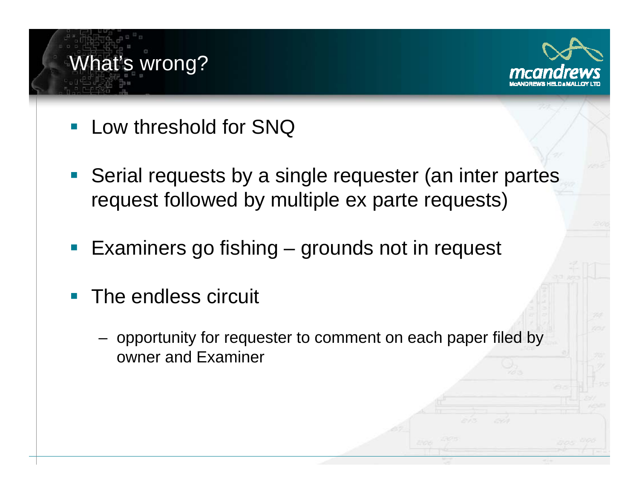



- Low threshold for SNQ
- $\mathcal{L}_{\mathcal{A}}$  Serial requests by a single requester (an inter partes request followed by multiple ex parte requests)
- $\mathcal{O}^{\mathcal{A}}$ Examiners go fishing – grounds not in request
- $\mathcal{L}_{\mathcal{A}}$  The endless circuit
	- – opportunity for requester to comment on each paper filed by owner and Examiner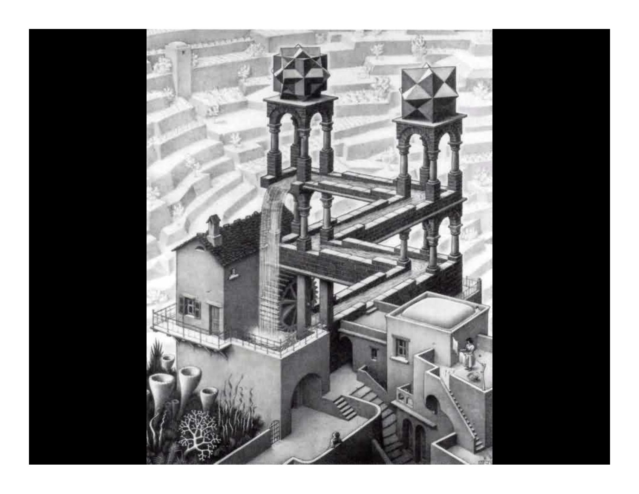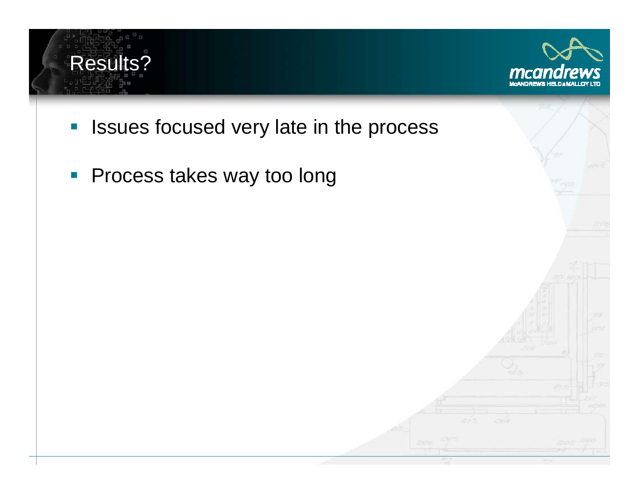



- $\mathcal{L}_{\mathcal{A}}$ Issues focused very late in the process
- **Process takes way too long**

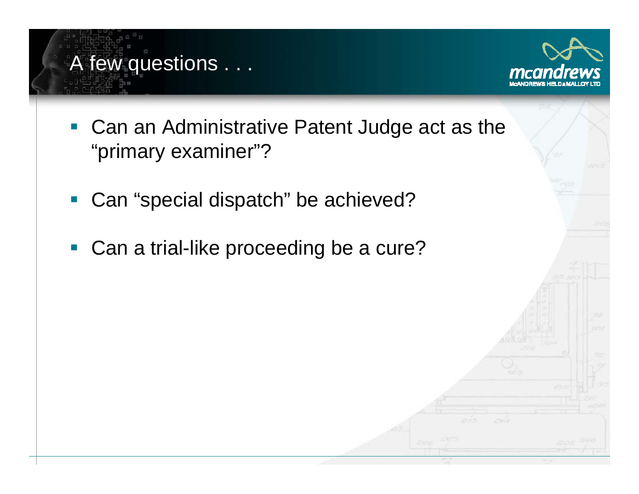



- $\mathcal{L}_{\mathcal{A}}$  Can an Administrative Patent Judge act as the "primary examiner"?
- $\mathbb{R}^n$ Can "special dispatch" be achieved?
- $\mathcal{O}^{\mathcal{A}}$ Can a trial-like proceeding be a cure?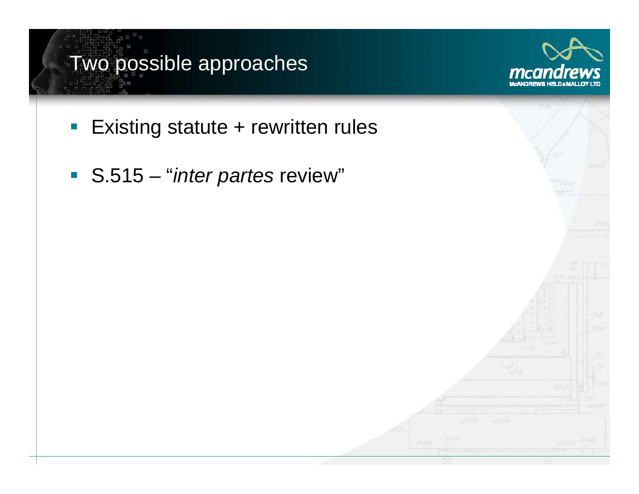



- Existing statute + rewritten rules
- S.515 "*inter partes* review"

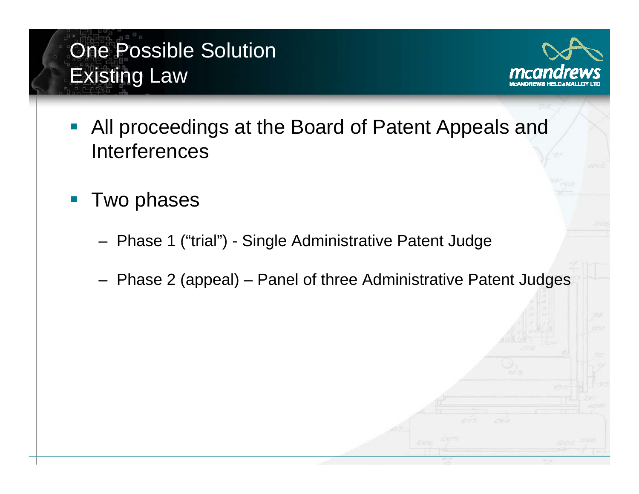



- $\mathbb{R}^n$  All proceedings at the Board of Patent Appeals and Interferences
- $\mathbb{R}^n$  Two phases
	- –Phase 1 ("trial") - Single Administrative Patent Judge
	- –Phase 2 (appeal) – Panel of three Administrative Patent Judges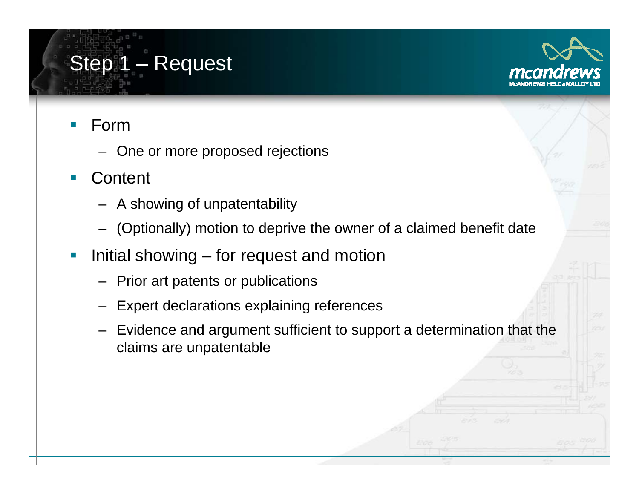# Step 1 – Request



- $\Box$  Form
	- One or more proposed rejections
- $\mathcal{C}^{\mathcal{A}}$ **Content** 
	- A showing of unpatentability
	- (Optionally) motion to deprive the owner of a claimed benefit date
- $\mathcal{L}_{\mathcal{A}}$  Initial showing – for request and motion
	- –Prior art patents or publications
	- –Expert declarations explaining references
	- Evidence and argument sufficient to support a determination that the claims are unpatentable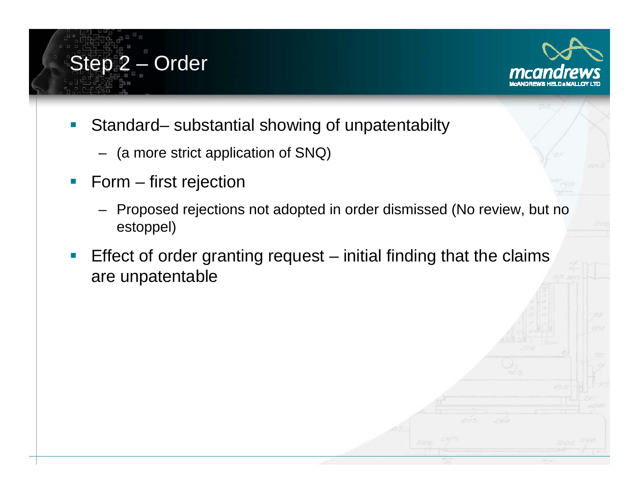



- $\mathbb{R}^3$  Standard– substantial showing of unpatentabilty
	- (a more strict application of SNQ)
- $\Box$  Form – first rejection
	- – Proposed rejections not adopted in order dismissed (No review, but no estoppel)
- $\mathbb{R}^3$  Effect of order granting request – initial finding that the claims are unpatentable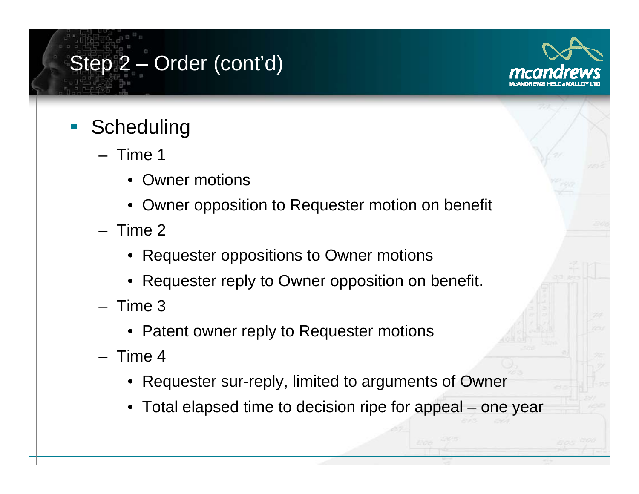### Step 2 – Order (cont'd)

- **Scheduling** 
	- Time 1
		- Owner motions
		- Owner opposition to Requester motion on benefit
	- Time 2
		- Requester oppositions to Owner motions
		- Requester reply to Owner opposition on benefit.
	- Time 3
		- Patent owner reply to Requester motions
	- Time 4
		- Requester sur-reply, limited to arguments of Owner
		- Total elapsed time to decision ripe for appeal one year

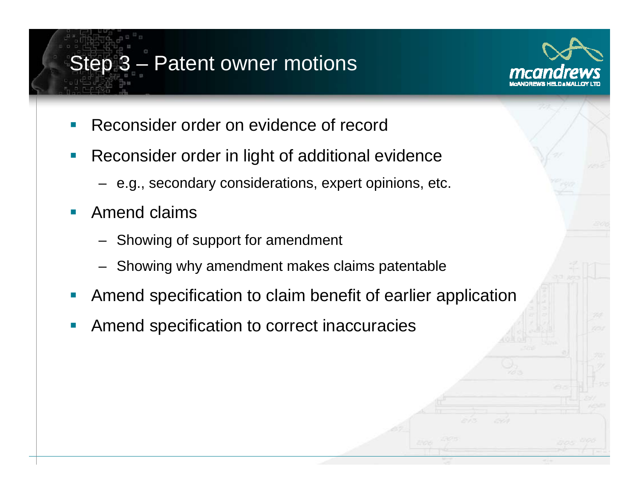#### Step 3 – Patent owner motions



- $\mathcal{C}^{\mathcal{A}}$ Reconsider order on evidence of record
- $\mathbb{R}^n$  Reconsider order in light of additional evidence
	- e.g., secondary considerations, expert opinions, etc.
- $\mathbb{R}^3$ **Amend claims** 
	- Showing of support for amendment
	- Showing why amendment makes claims patentable
- $\mathbb{R}^2$ Amend specification to claim benefit of earlier application
- $\mathcal{C}^{\mathcal{A}}$ Amend specification to correct inaccuracies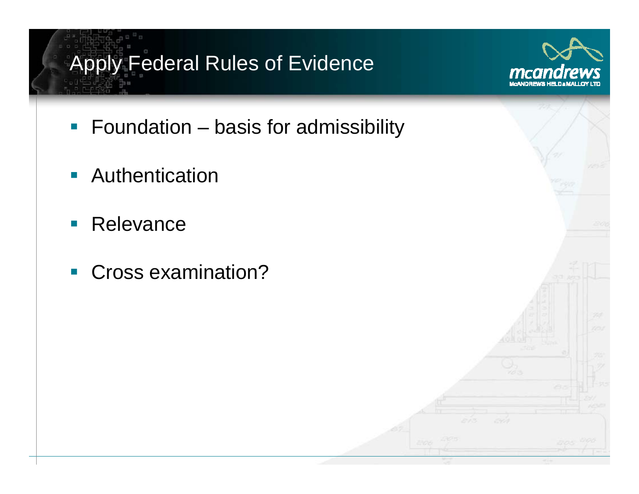## Apply Federal Rules of Evidence



- Foundation basis for admissibility
- **Authentication**
- $\mathcal{L}_{\mathcal{A}}$ **Relevance**
- $\mathcal{L}_{\mathcal{A}}$ Cross examination?

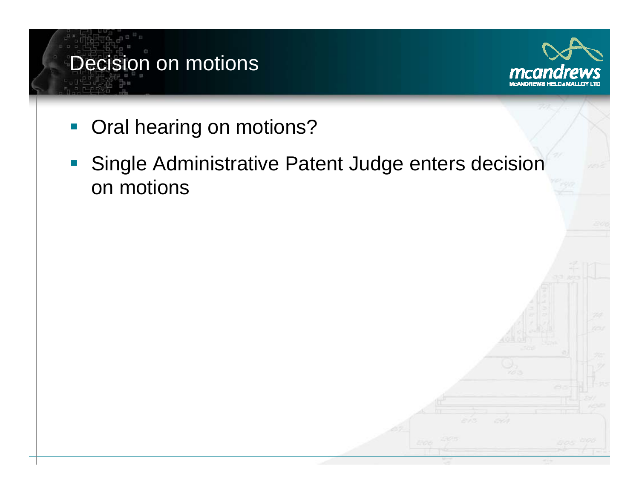



- $\mathcal{L}_{\mathcal{A}}$ Oral hearing on motions?
- $\overline{\mathbb{R}^2}$  Single Administrative Patent Judge enters decision on motions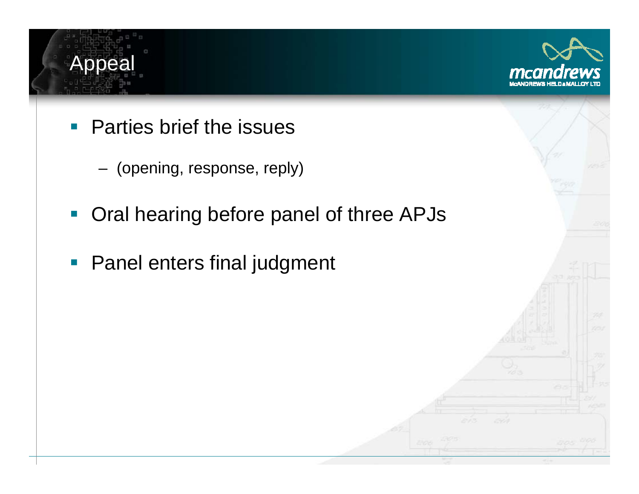



- **Parties brief the issues** 
	- –(opening, response, reply)
- $\mathcal{L}_{\mathcal{A}}$ Oral hearing before panel of three APJs
- $\mathcal{L}_{\mathcal{A}}$ Panel enters final judgment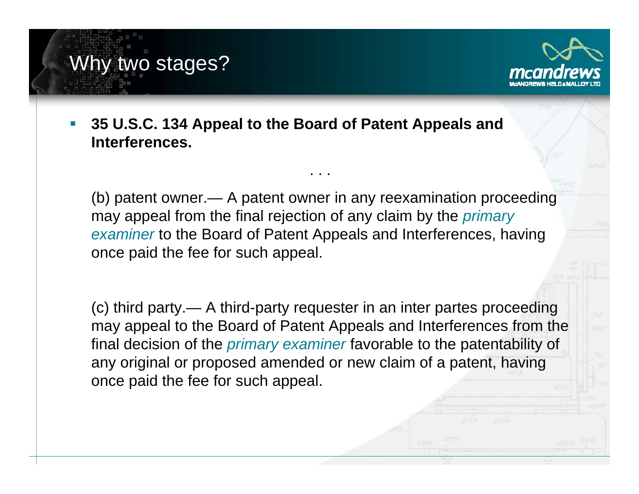



 $\overline{\phantom{a}}$  **35 U.S.C. 134 Appeal to the Board of Patent Appeals and Interferences.** 

(b) patent owner.— A patent owner in any reexamination proceeding may appeal from the final rejection of any claim by the *primary examiner* to the Board of Patent Appeals and Interferences, having once paid the fee for such appeal.

. . .

(c) third party.— A third-party requester in an inter partes proceeding may appeal to the Board of Patent Appeals and Interferences from the final decision of the *primary examiner* favorable to the patentability of any original or proposed amended or new claim of a patent, having once paid the fee for such appeal.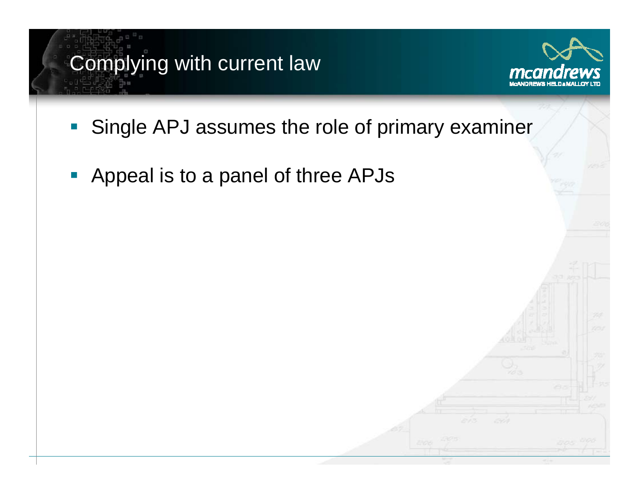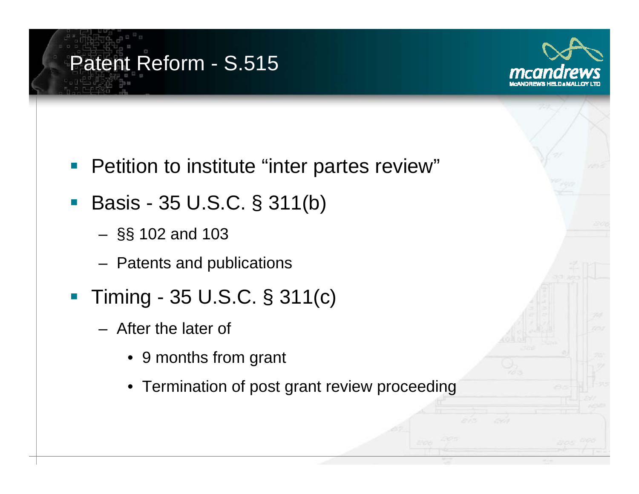

- $\mathcal{L}_{\mathcal{A}}$ Petition to institute "inter partes review"
- $\mathcal{L}_{\mathcal{A}}$  Basis - 35 U.S.C. § 311(b)
	- –§§ 102 and 103
	- –Patents and publications
- Timing 35 U.S.C. § 311(c)
	- After the later of
		- 9 months from grant
		- Termination of post grant review proceeding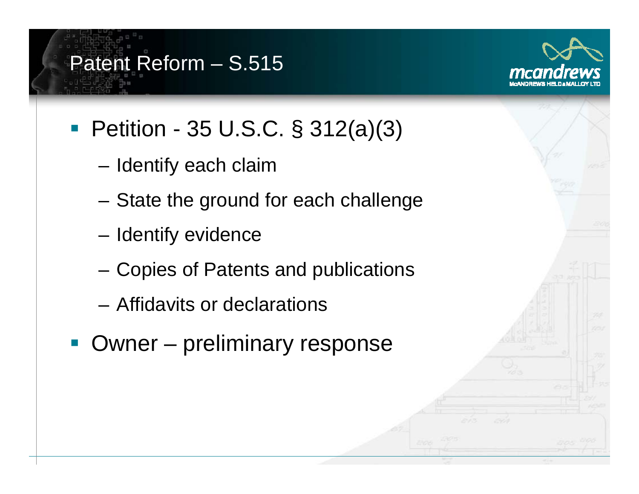

- Petition 35 U.S.C. § 312(a)(3)
	- –Identify each claim
	- –State the ground for each challenge
	- –Identify evidence
	- –Copies of Patents and publications
	- Affidavits or declarations
- **Owner** preliminary response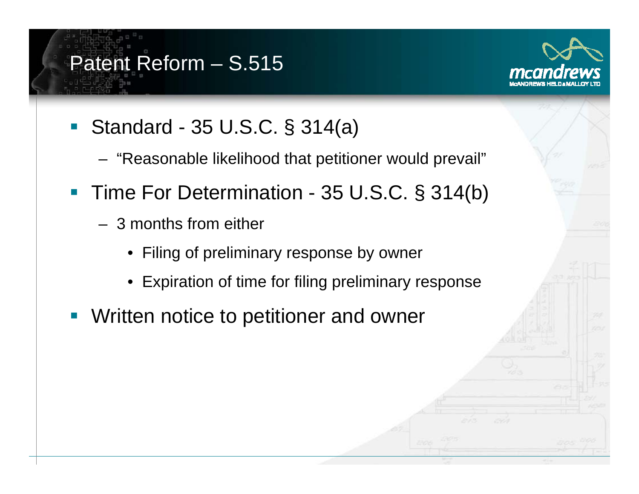

- Standard 35 U.S.C. § 314(a)
	- –"Reasonable likelihood that petitioner would prevail"
- Time For Determination 35 U.S.C. § 314(b)
	- 3 months from either
		- Filing of preliminary response by owner
		- Expiration of time for filing preliminary response
- $\mathbb{R}^n$ Written notice to petitioner and owner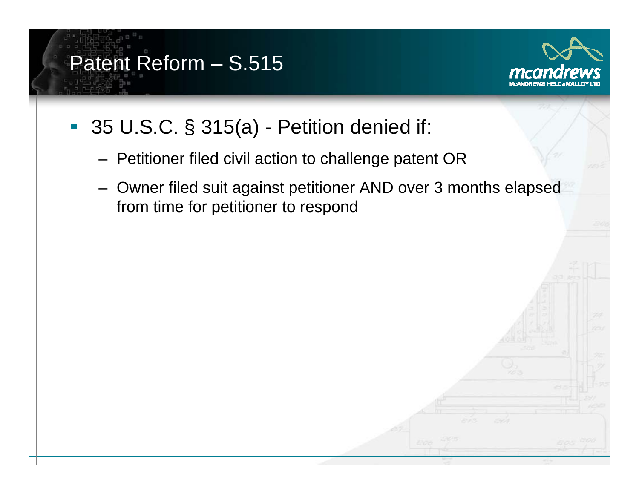

- 35 U.S.C. § 315(a) Petition denied if:
	- –Petitioner filed civil action to challenge patent OR
	- – Owner filed suit against petitioner AND over 3 months elapsed from time for petitioner to respond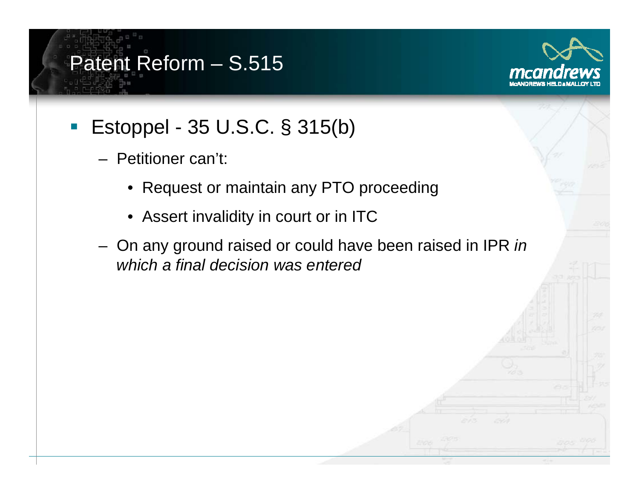

- $\mathcal{L}_{\mathcal{A}}$  Estoppel - 35 U.S.C. § 315(b)
	- – Petitioner can't:
		- Request or maintain any PTO proceeding
		- Assert invalidity in court or in ITC
	- – On any ground raised or could have been raised in IPR *in which a final decision was entered*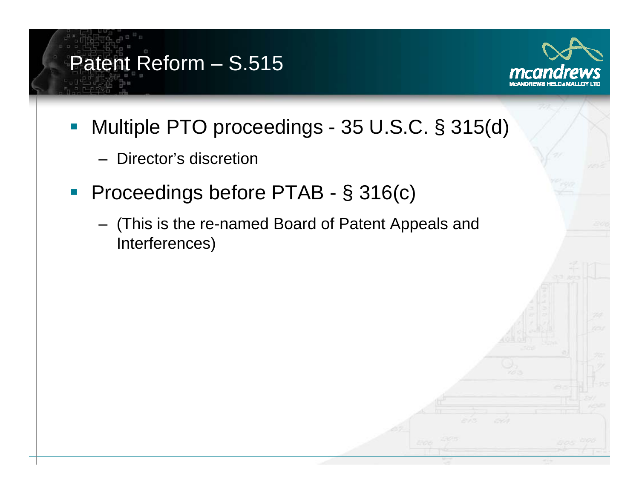

- $\mathcal{L}_{\mathcal{A}}$  Multiple PTO proceedings - 35 U.S.C. § 315(d)
	- –Director's discretion
- $\mathcal{L}_{\text{max}}$  Proceedings before PTAB - § 316(c)
	- – (This is the re-named Board of Patent Appeals and Interferences)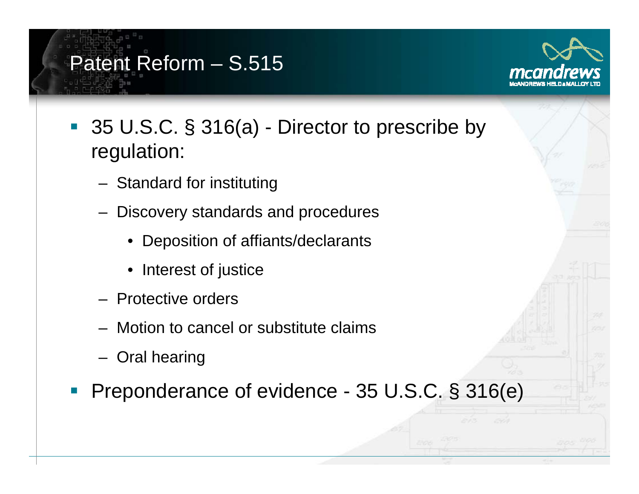

- $\mathcal{L}_{\mathcal{A}}$  35 U.S.C. § 316(a) - Director to prescribe by regulation:
	- –Standard for instituting
	- – Discovery standards and procedures
		- Deposition of affiants/declarants
		- Interest of justice
	- Protective orders
	- Motion to cancel or substitute claims
	- –Oral hearing
- $\overline{\phantom{a}}$ Preponderance of evidence - 35 U.S.C. § 316(e)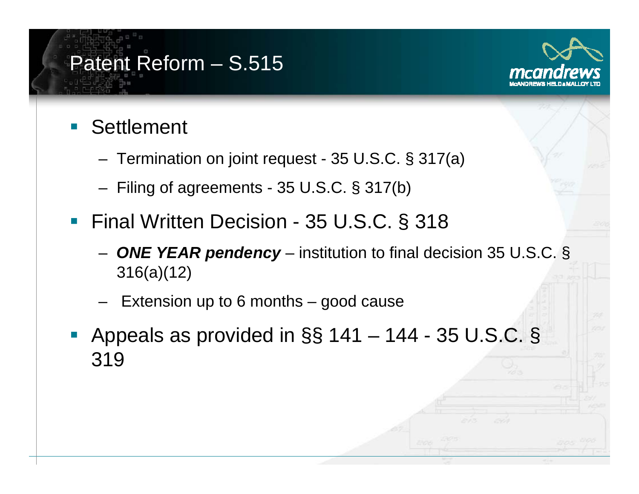

#### $\mathcal{L}_{\mathcal{A}}$ **Settlement**

- –Termination on joint request - 35 U.S.C. § 317(a)
- –Filing of agreements - 35 U.S.C. § 317(b)
- Final Written Decision 35 U.S.C. § 318
	- – *ONE YEAR pendency* – institution to final decision 35 U.S.C. § 316(a)(12)
	- –Extension up to 6 months – good cause
- Appeals as provided in §§ 141 144 35 U.S.C. § 319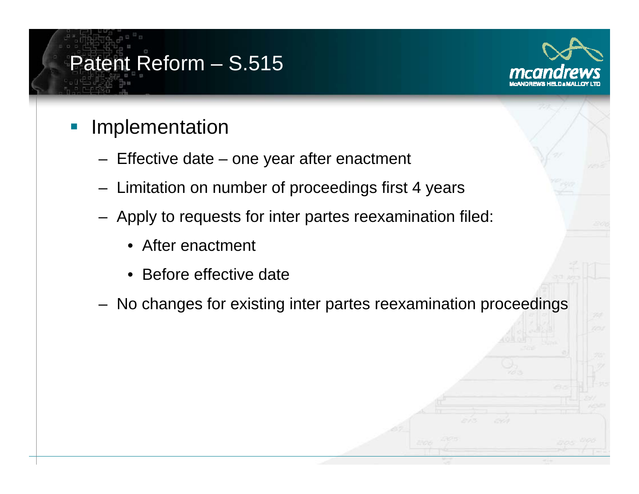

- Implementation
	- –Effective date – one year after enactment
	- –Limitation on number of proceedings first 4 years
	- – Apply to requests for inter partes reexamination filed:
		- After enactment
		- Before effective date
	- –No changes for existing inter partes reexamination proceedings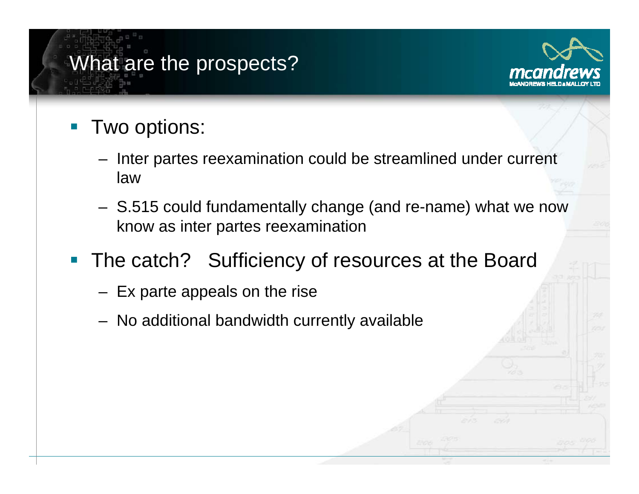#### What are the prospects?



#### Two options:

- – Inter partes reexamination could be streamlined under current law
- – S.515 could fundamentally change (and re-name) what we now know as inter partes reexamination
- **The catch? Sufficiency of resources at the Board** 
	- –Ex parte appeals on the rise
	- –No additional bandwidth currently available